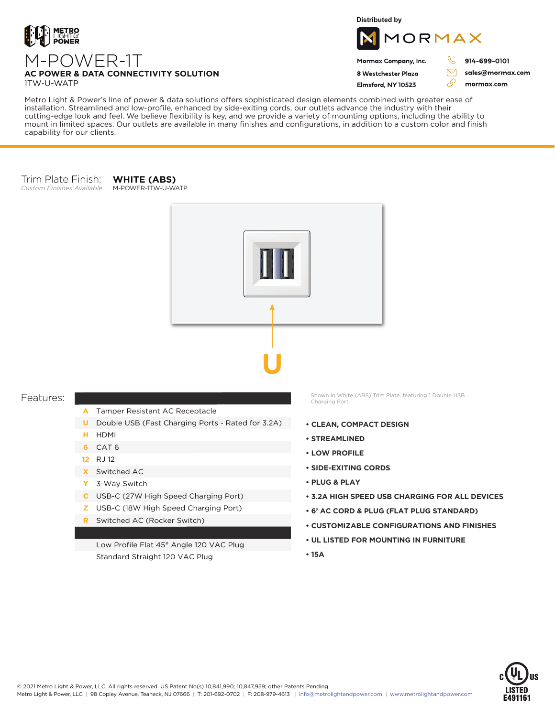

**Distributed by**



Mormax Company, Inc. 8 Westchester Plaza

Flmsford, NY 10523

914-699-0101

sales@mormax.com mormax.com

 $\triangledown$ 

76

## **AC POWER & DATA CONNECTIVITY SOLUTION**

M-POWER-1T

1TW-U-WATP

Metro Light & Power's line of power & data solutions offers sophisticated design elements combined with greater ease of installation. Streamlined and low-profile, enhanced by side-exiting cords, our outlets advance the industry with their cutting-edge look and feel. We believe flexibility is key, and we provide a variety of mounting options, including the ability to mount in limited spaces. Our outlets are available in many finishes and configurations, in addition to a custom color and finish capability for our clients.

## Trim Plate Finish: *Custom Finishes Available* M-POWER-1TW-U-WATP

**WHITE (ABS)**



## Features:

- Tamper Resistant AC Receptacle **A**
- **U** Double USB (Fast Charging Ports Rated for 3.2A)
- HDMI **H**
- **6** CAT 6
- RJ 12 **12**
- Switched AC **X**
- 3-Way Switch **Y**
- USB-C (27W High Speed Charging Port) **C**
- USB-C (18W High Speed Charging Port) **Z**
- Switched AC (Rocker Switch) **R**

Low Profile Flat 45° Angle 120 VAC Plug Standard Straight 120 VAC Plug

Shown in White (ABS) Trim Plate, featuring 1 Double USB Charging Port.

- **CLEAN, COMPACT DESIGN**
- **STREAMLINED**
- **LOW PROFILE**
- **SIDE-EXITING CORDS**
- **PLUG & PLAY**
- **3.2A HIGH SPEED USB CHARGING FOR ALL DEVICES**
- **6' AC CORD & PLUG (FLAT PLUG STANDARD)**
- **CUSTOMIZABLE CONFIGURATIONS AND FINISHES**
- **UL LISTED FOR MOUNTING IN FURNITURE**
- **15A**





- 
-